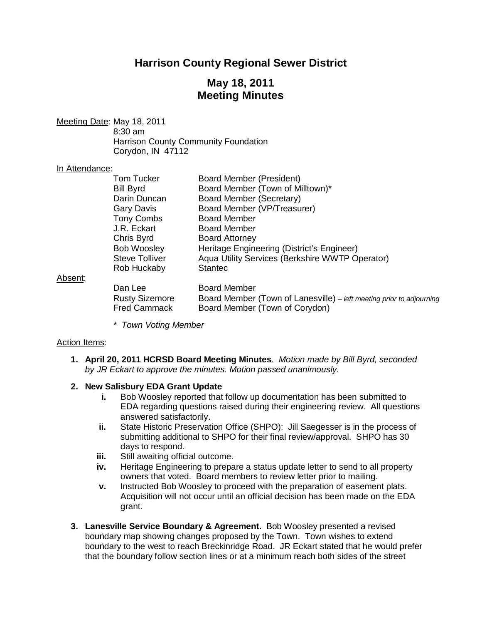# **Harrison County Regional Sewer District**

# **May 18, 2011 Meeting Minutes**

Meeting Date: May 18, 2011

8:30 am Harrison County Community Foundation Corydon, IN 47112

#### In Attendance:

| <b>Tom Tucker</b>     | <b>Board Member (President)</b>                                      |
|-----------------------|----------------------------------------------------------------------|
| <b>Bill Byrd</b>      | Board Member (Town of Milltown)*                                     |
| Darin Duncan          | Board Member (Secretary)                                             |
| Gary Davis            | Board Member (VP/Treasurer)                                          |
| <b>Tony Combs</b>     | <b>Board Member</b>                                                  |
| J.R. Eckart           | <b>Board Member</b>                                                  |
| Chris Byrd            | <b>Board Attorney</b>                                                |
| <b>Bob Woosley</b>    | Heritage Engineering (District's Engineer)                           |
| <b>Steve Tolliver</b> | Aqua Utility Services (Berkshire WWTP Operator)                      |
| Rob Huckaby           | <b>Stantec</b>                                                       |
| Dan Lee               | <b>Board Member</b>                                                  |
| <b>Rusty Sizemore</b> | Board Member (Town of Lanesville) – left meeting prior to adjourning |
| <b>Fred Cammack</b>   | Board Member (Town of Corydon)                                       |

*\* Town Voting Member*

### Action Items:

Absent:

**1. April 20, 2011 HCRSD Board Meeting Minutes**. *Motion made by Bill Byrd, seconded by JR Eckart to approve the minutes. Motion passed unanimously.*

### **2. New Salisbury EDA Grant Update**

- **i.** Bob Woosley reported that follow up documentation has been submitted to EDA regarding questions raised during their engineering review. All questions answered satisfactorily.
- **ii.** State Historic Preservation Office (SHPO): Jill Saegesser is in the process of submitting additional to SHPO for their final review/approval. SHPO has 30 days to respond.
- **iii.** Still awaiting official outcome.
- **iv.** Heritage Engineering to prepare a status update letter to send to all property owners that voted. Board members to review letter prior to mailing.
- **v.** Instructed Bob Woosley to proceed with the preparation of easement plats. Acquisition will not occur until an official decision has been made on the EDA grant.
- **3. Lanesville Service Boundary & Agreement.** Bob Woosley presented a revised boundary map showing changes proposed by the Town. Town wishes to extend boundary to the west to reach Breckinridge Road. JR Eckart stated that he would prefer that the boundary follow section lines or at a minimum reach both sides of the street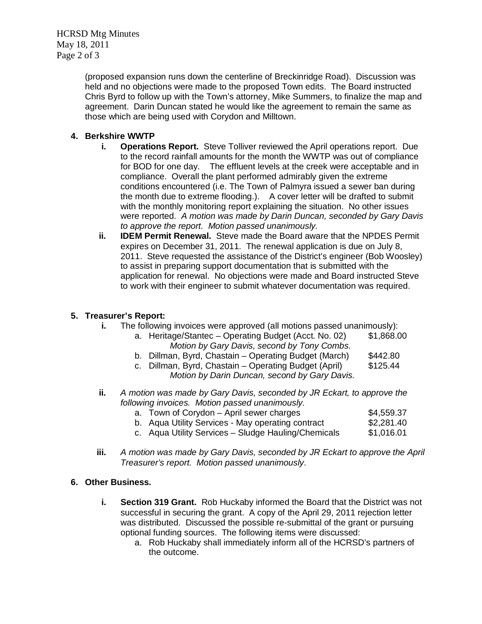HCRSD Mtg Minutes May 18, 2011 Page 2 of 3

> (proposed expansion runs down the centerline of Breckinridge Road). Discussion was held and no objections were made to the proposed Town edits. The Board instructed Chris Byrd to follow up with the Town's attorney, Mike Summers, to finalize the map and agreement. Darin Duncan stated he would like the agreement to remain the same as those which are being used with Corydon and Milltown.

### **4. Berkshire WWTP**

- **i. Operations Report.** Steve Tolliver reviewed the April operations report. Due to the record rainfall amounts for the month the WWTP was out of compliance for BOD for one day. The effluent levels at the creek were acceptable and in compliance. Overall the plant performed admirably given the extreme conditions encountered (i.e. The Town of Palmyra issued a sewer ban during the month due to extreme flooding.). A cover letter will be drafted to submit with the monthly monitoring report explaining the situation. No other issues were reported. *A motion was made by Darin Duncan, seconded by Gary Davis to approve the report. Motion passed unanimously.*
- **ii. IDEM Permit Renewal.** Steve made the Board aware that the NPDES Permit expires on December 31, 2011. The renewal application is due on July 8, 2011. Steve requested the assistance of the District's engineer (Bob Woosley) to assist in preparing support documentation that is submitted with the application for renewal. No objections were made and Board instructed Steve to work with their engineer to submit whatever documentation was required.

### **5. Treasurer's Report:**

- **i.** The following invoices were approved (all motions passed unanimously):<br>a. Heritage/Stantec Operating Budget (Acct. No. 02) \$1,868.00
	- a. Heritage/Stantec Operating Budget (Acct. No. 02) *Motion by Gary Davis, second by Tony Combs.*
	- b. Dillman, Byrd, Chastain Operating Budget (March) \$442.80
	- c. Dillman, Byrd, Chastain Operating Budget (April) \$125.44 *Motion by Darin Duncan, second by Gary Davis.*
- **ii.** *A motion was made by Gary Davis, seconded by JR Eckart, to approve the following invoices. Motion passed unanimously.*
	- a. Town of Corydon April sewer charges  $$4,559.37$
	- b. Aqua Utility Services May operating contract \$2,281.40
	- c. Aqua Utility Services Sludge Hauling/Chemicals \$1,016.01
- **iii.** *A motion was made by Gary Davis, seconded by JR Eckart to approve the April Treasurer's report. Motion passed unanimously*.

## **6. Other Business.**

- **i. Section 319 Grant.** Rob Huckaby informed the Board that the District was not successful in securing the grant. A copy of the April 29, 2011 rejection letter was distributed. Discussed the possible re-submittal of the grant or pursuing optional funding sources. The following items were discussed:
	- a. Rob Huckaby shall immediately inform all of the HCRSD's partners of the outcome.